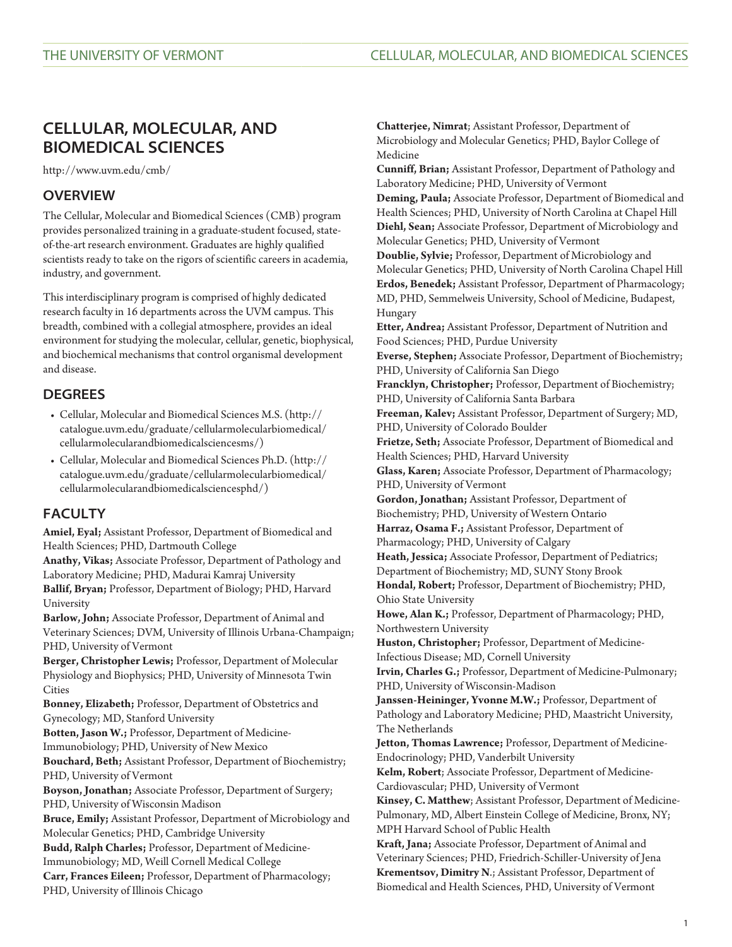# **CELLULAR, MOLECULAR, AND BIOMEDICAL SCIENCES**

<http://www.uvm.edu/cmb/>

# **OVERVIEW**

The Cellular, Molecular and Biomedical Sciences (CMB) program provides personalized training in a graduate-student focused, stateof-the-art research environment. Graduates are highly qualified scientists ready to take on the rigors of scientific careers in academia, industry, and government.

This interdisciplinary program is comprised of highly dedicated research faculty in 16 departments across the UVM campus. This breadth, combined with a collegial atmosphere, provides an ideal environment for studying the molecular, cellular, genetic, biophysical, and biochemical mechanisms that control organismal development and disease.

# **DEGREES**

- [Cellular, Molecular and Biomedical Sciences M.S.](http://catalogue.uvm.edu/graduate/cellularmolecularbiomedical/cellularmolecularandbiomedicalsciencesms/) [\(http://](http://catalogue.uvm.edu/graduate/cellularmolecularbiomedical/cellularmolecularandbiomedicalsciencesms/) [catalogue.uvm.edu/graduate/cellularmolecularbiomedical/](http://catalogue.uvm.edu/graduate/cellularmolecularbiomedical/cellularmolecularandbiomedicalsciencesms/) [cellularmolecularandbiomedicalsciencesms/\)](http://catalogue.uvm.edu/graduate/cellularmolecularbiomedical/cellularmolecularandbiomedicalsciencesms/)
- [Cellular, Molecular and Biomedical Sciences Ph.D.](http://catalogue.uvm.edu/graduate/cellularmolecularbiomedical/cellularmolecularandbiomedicalsciencesphd/) [\(http://](http://catalogue.uvm.edu/graduate/cellularmolecularbiomedical/cellularmolecularandbiomedicalsciencesphd/) [catalogue.uvm.edu/graduate/cellularmolecularbiomedical/](http://catalogue.uvm.edu/graduate/cellularmolecularbiomedical/cellularmolecularandbiomedicalsciencesphd/) [cellularmolecularandbiomedicalsciencesphd/\)](http://catalogue.uvm.edu/graduate/cellularmolecularbiomedical/cellularmolecularandbiomedicalsciencesphd/)

# **FACULTY**

**Amiel, Eyal;** Assistant Professor, Department of Biomedical and Health Sciences; PHD, Dartmouth College

**Anathy, Vikas;** Associate Professor, Department of Pathology and Laboratory Medicine; PHD, Madurai Kamraj University **Ballif, Bryan;** Professor, Department of Biology; PHD, Harvard

University **Barlow, John;** Associate Professor, Department of Animal and Veterinary Sciences; DVM, University of Illinois Urbana-Champaign; PHD, University of Vermont

**Berger, Christopher Lewis;** Professor, Department of Molecular Physiology and Biophysics; PHD, University of Minnesota Twin **Cities** 

**Bonney, Elizabeth;** Professor, Department of Obstetrics and Gynecology; MD, Stanford University

**Botten, Jason W.;** Professor, Department of Medicine-

Immunobiology; PHD, University of New Mexico

**Bouchard, Beth;** Assistant Professor, Department of Biochemistry; PHD, University of Vermont

**Boyson, Jonathan;** Associate Professor, Department of Surgery; PHD, University of Wisconsin Madison

**Bruce, Emily;** Assistant Professor, Department of Microbiology and Molecular Genetics; PHD, Cambridge University

**Budd, Ralph Charles;** Professor, Department of Medicine-

Immunobiology; MD, Weill Cornell Medical College

**Carr, Frances Eileen;** Professor, Department of Pharmacology; PHD, University of Illinois Chicago

**Chatterjee, Nimrat**; Assistant Professor, Department of Microbiology and Molecular Genetics; PHD, Baylor College of Medicine

**Cunniff, Brian;** Assistant Professor, Department of Pathology and Laboratory Medicine; PHD, University of Vermont

**Deming, Paula;** Associate Professor, Department of Biomedical and Health Sciences; PHD, University of North Carolina at Chapel Hill **Diehl, Sean;** Associate Professor, Department of Microbiology and Molecular Genetics; PHD, University of Vermont

**Doublie, Sylvie;** Professor, Department of Microbiology and Molecular Genetics; PHD, University of North Carolina Chapel Hill **Erdos, Benedek;** Assistant Professor, Department of Pharmacology; MD, PHD, Semmelweis University, School of Medicine, Budapest, Hungary

**Etter, Andrea;** Assistant Professor, Department of Nutrition and Food Sciences; PHD, Purdue University

**Everse, Stephen;** Associate Professor, Department of Biochemistry; PHD, University of California San Diego

**Francklyn, Christopher;** Professor, Department of Biochemistry; PHD, University of California Santa Barbara

**Freeman, Kalev;** Assistant Professor, Department of Surgery; MD, PHD, University of Colorado Boulder

**Frietze, Seth;** Associate Professor, Department of Biomedical and Health Sciences; PHD, Harvard University

**Glass, Karen;** Associate Professor, Department of Pharmacology; PHD, University of Vermont

**Gordon, Jonathan;** Assistant Professor, Department of Biochemistry; PHD, University of Western Ontario

**Harraz, Osama F.;** Assistant Professor, Department of

Pharmacology; PHD, University of Calgary

**Heath, Jessica;** Associate Professor, Department of Pediatrics; Department of Biochemistry; MD, SUNY Stony Brook

**Hondal, Robert;** Professor, Department of Biochemistry; PHD, Ohio State University

**Howe, Alan K.;** Professor, Department of Pharmacology; PHD, Northwestern University

**Huston, Christopher;** Professor, Department of Medicine-Infectious Disease; MD, Cornell University

**Irvin, Charles G.;** Professor, Department of Medicine-Pulmonary; PHD, University of Wisconsin-Madison

**Janssen-Heininger, Yvonne M.W.;** Professor, Department of Pathology and Laboratory Medicine; PHD, Maastricht University, The Netherlands

**Jetton, Thomas Lawrence;** Professor, Department of Medicine-Endocrinology; PHD, Vanderbilt University

**Kelm, Robert**; Associate Professor, Department of Medicine-Cardiovascular; PHD, University of Vermont

**Kinsey, C. Matthew**; Assistant Professor, Department of Medicine-Pulmonary, MD, Albert Einstein College of Medicine, Bronx, NY; MPH Harvard School of Public Health

**Kraft, Jana;** Associate Professor, Department of Animal and Veterinary Sciences; PHD, Friedrich-Schiller-University of Jena **Krementsov, Dimitry N**.; Assistant Professor, Department of Biomedical and Health Sciences, PHD, University of Vermont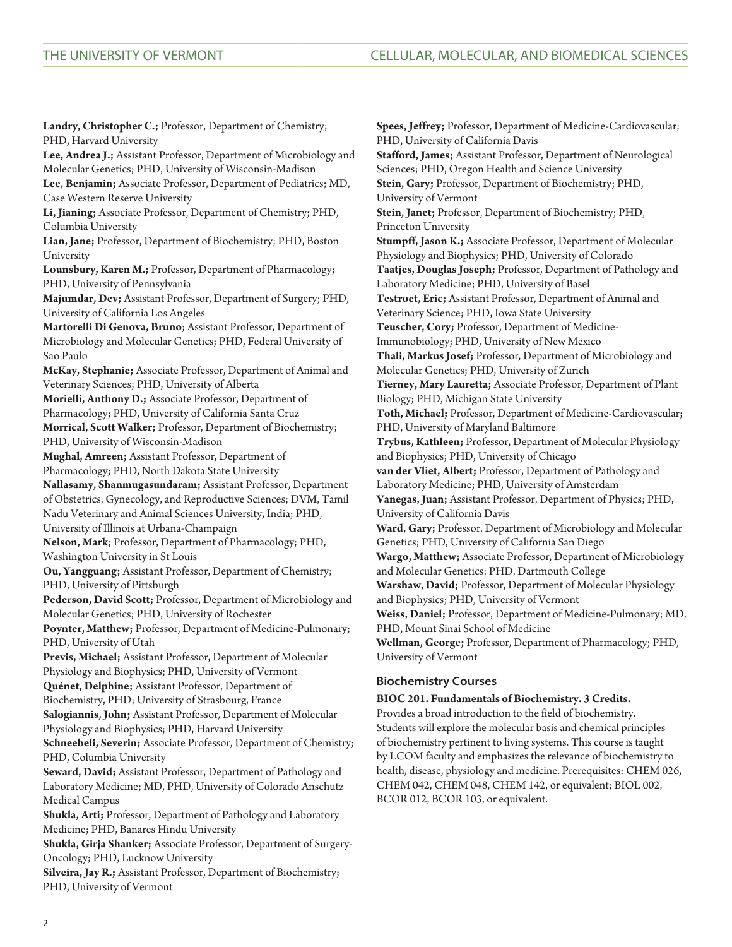**Landry, Christopher C.;** Professor, Department of Chemistry; PHD, Harvard University

**Lee, Andrea J.;** Assistant Professor, Department of Microbiology and Molecular Genetics; PHD, University of Wisconsin-Madison **Lee, Benjamin;** Associate Professor, Department of Pediatrics; MD,

Case Western Reserve University **Li, Jianing;** Associate Professor, Department of Chemistry; PHD,

Columbia University **Lian, Jane;** Professor, Department of Biochemistry; PHD, Boston

University **Lounsbury, Karen M.;** Professor, Department of Pharmacology;

PHD, University of Pennsylvania

**Majumdar, Dev;** Assistant Professor, Department of Surgery; PHD, University of California Los Angeles

**Martorelli Di Genova, Bruno**; Assistant Professor, Department of Microbiology and Molecular Genetics; PHD, Federal University of Sao Paulo

**McKay, Stephanie;** Associate Professor, Department of Animal and Veterinary Sciences; PHD, University of Alberta

**Morielli, Anthony D.;** Associate Professor, Department of Pharmacology; PHD, University of California Santa Cruz

**Morrical, Scott Walker;** Professor, Department of Biochemistry; PHD, University of Wisconsin-Madison

**Mughal, Amreen;** Assistant Professor, Department of Pharmacology; PHD, North Dakota State University

**Nallasamy, Shanmugasundaram;** Assistant Professor, Department of Obstetrics, Gynecology, and Reproductive Sciences; DVM, Tamil Nadu Veterinary and Animal Sciences University, India; PHD, University of Illinois at Urbana-Champaign

**Nelson, Mark**; Professor, Department of Pharmacology; PHD, Washington University in St Louis

**Ou, Yangguang;** Assistant Professor, Department of Chemistry; PHD, University of Pittsburgh

**Pederson, David Scott;** Professor, Department of Microbiology and Molecular Genetics; PHD, University of Rochester

**Poynter, Matthew;** Professor, Department of Medicine-Pulmonary; PHD, University of Utah

**Previs, Michael;** Assistant Professor, Department of Molecular Physiology and Biophysics; PHD, University of Vermont

**Quénet, Delphine;** Assistant Professor, Department of

Biochemistry, PHD; University of Strasbourg, France

**Salogiannis, John;** Assistant Professor, Department of Molecular Physiology and Biophysics; PHD, Harvard University

**Schneebeli, Severin;** Associate Professor, Department of Chemistry; PHD, Columbia University

**Seward, David;** Assistant Professor, Department of Pathology and Laboratory Medicine; MD, PHD, University of Colorado Anschutz Medical Campus

**Shukla, Arti;** Professor, Department of Pathology and Laboratory Medicine; PHD, Banares Hindu University

**Shukla, Girja Shanker;** Associate Professor, Department of Surgery-Oncology; PHD, Lucknow University

**Silveira, Jay R.;** Assistant Professor, Department of Biochemistry; PHD, University of Vermont

**Spees, Jeffrey;** Professor, Department of Medicine-Cardiovascular; PHD, University of California Davis **Stafford, James;** Assistant Professor, Department of Neurological Sciences; PHD, Oregon Health and Science University **Stein, Gary;** Professor, Department of Biochemistry; PHD, University of Vermont **Stein, Janet;** Professor, Department of Biochemistry; PHD, Princeton University **Stumpff, Jason K.;** Associate Professor, Department of Molecular Physiology and Biophysics; PHD, University of Colorado **Taatjes, Douglas Joseph;** Professor, Department of Pathology and Laboratory Medicine; PHD, University of Basel **Testroet, Eric;** Assistant Professor, Department of Animal and Veterinary Science; PHD, Iowa State University **Teuscher, Cory;** Professor, Department of Medicine-Immunobiology; PHD, University of New Mexico **Thali, Markus Josef;** Professor, Department of Microbiology and Molecular Genetics; PHD, University of Zurich **Tierney, Mary Lauretta;** Associate Professor, Department of Plant Biology; PHD, Michigan State University **Toth, Michael;** Professor, Department of Medicine-Cardiovascular; PHD, University of Maryland Baltimore **Trybus, Kathleen;** Professor, Department of Molecular Physiology and Biophysics; PHD, University of Chicago **van der Vliet, Albert;** Professor, Department of Pathology and Laboratory Medicine; PHD, University of Amsterdam **Vanegas, Juan;** Assistant Professor, Department of Physics; PHD, University of California Davis **Ward, Gary;** Professor, Department of Microbiology and Molecular Genetics; PHD, University of California San Diego **Wargo, Matthew;** Associate Professor, Department of Microbiology and Molecular Genetics; PHD, Dartmouth College **Warshaw, David;** Professor, Department of Molecular Physiology and Biophysics; PHD, University of Vermont **Weiss, Daniel;** Professor, Department of Medicine-Pulmonary; MD, PHD, Mount Sinai School of Medicine **Wellman, George;** Professor, Department of Pharmacology; PHD, University of Vermont

# **Biochemistry Courses**

# **BIOC 201. Fundamentals of Biochemistry. 3 Credits.** Provides a broad introduction to the field of biochemistry. Students will explore the molecular basis and chemical principles of biochemistry pertinent to living systems. This course is taught by LCOM faculty and emphasizes the relevance of biochemistry to health, disease, physiology and medicine. Prerequisites: [CHEM 026](/search/?P=CHEM%20026), [CHEM 042,](/search/?P=CHEM%20042) [CHEM 048,](/search/?P=CHEM%20048) [CHEM 142](/search/?P=CHEM%20142), or equivalent; [BIOL 002](/search/?P=BIOL%20002), [BCOR 012](/search/?P=BCOR%20012), [BCOR 103](/search/?P=BCOR%20103), or equivalent.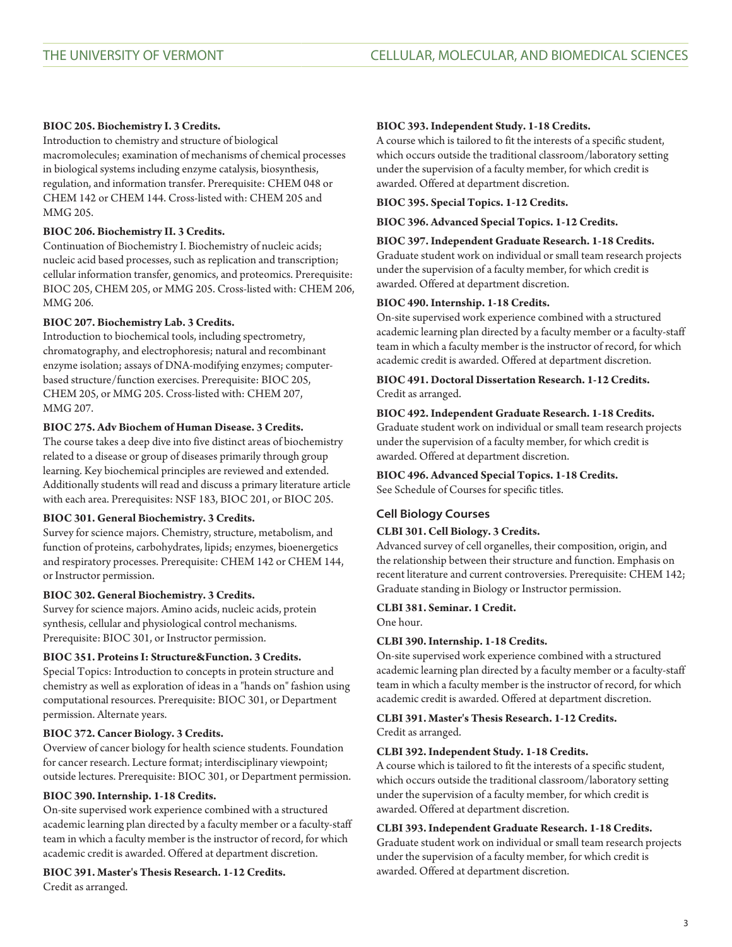# **BIOC 205. Biochemistry I. 3 Credits.**

Introduction to chemistry and structure of biological macromolecules; examination of mechanisms of chemical processes in biological systems including enzyme catalysis, biosynthesis, regulation, and information transfer. Prerequisite: [CHEM 048](/search/?P=CHEM%20048) or [CHEM 142](/search/?P=CHEM%20142) or CHEM 144. Cross-listed with: [CHEM 205](/search/?P=CHEM%20205) and [MMG 205](/search/?P=MMG%20205).

# **BIOC 206. Biochemistry II. 3 Credits.**

Continuation of Biochemistry I. Biochemistry of nucleic acids; nucleic acid based processes, such as replication and transcription; cellular information transfer, genomics, and proteomics. Prerequisite: [BIOC 205](/search/?P=BIOC%20205), [CHEM 205,](/search/?P=CHEM%20205) or [MMG 205](/search/?P=MMG%20205). Cross-listed with: [CHEM 206,](/search/?P=CHEM%20206) [MMG 206](/search/?P=MMG%20206).

# **BIOC 207. Biochemistry Lab. 3 Credits.**

Introduction to biochemical tools, including spectrometry, chromatography, and electrophoresis; natural and recombinant enzyme isolation; assays of DNA-modifying enzymes; computerbased structure/function exercises. Prerequisite: [BIOC 205,](/search/?P=BIOC%20205) [CHEM 205](/search/?P=CHEM%20205), or [MMG 205.](/search/?P=MMG%20205) Cross-listed with: [CHEM 207](/search/?P=CHEM%20207), [MMG 207](/search/?P=MMG%20207).

# **BIOC 275. Adv Biochem of Human Disease. 3 Credits.**

The course takes a deep dive into five distinct areas of biochemistry related to a disease or group of diseases primarily through group learning. Key biochemical principles are reviewed and extended. Additionally students will read and discuss a primary literature article with each area. Prerequisites: NSF 183, [BIOC 201,](/search/?P=BIOC%20201) or [BIOC 205.](/search/?P=BIOC%20205)

# **BIOC 301. General Biochemistry. 3 Credits.**

Survey for science majors. Chemistry, structure, metabolism, and function of proteins, carbohydrates, lipids; enzymes, bioenergetics and respiratory processes. Prerequisite: [CHEM 142](/search/?P=CHEM%20142) or CHEM 144, or Instructor permission.

# **BIOC 302. General Biochemistry. 3 Credits.**

Survey for science majors. Amino acids, nucleic acids, protein synthesis, cellular and physiological control mechanisms. Prerequisite: [BIOC 301](/search/?P=BIOC%20301), or Instructor permission.

# **BIOC 351. Proteins I: Structure&Function. 3 Credits.**

Special Topics: Introduction to concepts in protein structure and chemistry as well as exploration of ideas in a "hands on" fashion using computational resources. Prerequisite: [BIOC 301,](/search/?P=BIOC%20301) or Department permission. Alternate years.

# **BIOC 372. Cancer Biology. 3 Credits.**

Overview of cancer biology for health science students. Foundation for cancer research. Lecture format; interdisciplinary viewpoint; outside lectures. Prerequisite: [BIOC 301](/search/?P=BIOC%20301), or Department permission.

# **BIOC 390. Internship. 1-18 Credits.**

On-site supervised work experience combined with a structured academic learning plan directed by a faculty member or a faculty-staff team in which a faculty member is the instructor of record, for which academic credit is awarded. Offered at department discretion.

**BIOC 391. Master's Thesis Research. 1-12 Credits.** Credit as arranged.

## **BIOC 393. Independent Study. 1-18 Credits.**

A course which is tailored to fit the interests of a specific student, which occurs outside the traditional classroom/laboratory setting under the supervision of a faculty member, for which credit is awarded. Offered at department discretion.

## **BIOC 395. Special Topics. 1-12 Credits.**

**BIOC 396. Advanced Special Topics. 1-12 Credits.**

## **BIOC 397. Independent Graduate Research. 1-18 Credits.**

Graduate student work on individual or small team research projects under the supervision of a faculty member, for which credit is awarded. Offered at department discretion.

## **BIOC 490. Internship. 1-18 Credits.**

On-site supervised work experience combined with a structured academic learning plan directed by a faculty member or a faculty-staff team in which a faculty member is the instructor of record, for which academic credit is awarded. Offered at department discretion.

# **BIOC 491. Doctoral Dissertation Research. 1-12 Credits.** Credit as arranged.

## **BIOC 492. Independent Graduate Research. 1-18 Credits.**

Graduate student work on individual or small team research projects under the supervision of a faculty member, for which credit is awarded. Offered at department discretion.

# **BIOC 496. Advanced Special Topics. 1-18 Credits.**

See Schedule of Courses for specific titles.

# **Cell Biology Courses**

# **CLBI 301. Cell Biology. 3 Credits.**

Advanced survey of cell organelles, their composition, origin, and the relationship between their structure and function. Emphasis on recent literature and current controversies. Prerequisite: [CHEM 142;](/search/?P=CHEM%20142) Graduate standing in Biology or Instructor permission.

### **CLBI 381. Seminar. 1 Credit.**

One hour.

### **CLBI 390. Internship. 1-18 Credits.**

On-site supervised work experience combined with a structured academic learning plan directed by a faculty member or a faculty-staff team in which a faculty member is the instructor of record, for which academic credit is awarded. Offered at department discretion.

# **CLBI 391. Master's Thesis Research. 1-12 Credits.**

Credit as arranged.

## **CLBI 392. Independent Study. 1-18 Credits.**

A course which is tailored to fit the interests of a specific student, which occurs outside the traditional classroom/laboratory setting under the supervision of a faculty member, for which credit is awarded. Offered at department discretion.

# **CLBI 393. Independent Graduate Research. 1-18 Credits.**

Graduate student work on individual or small team research projects under the supervision of a faculty member, for which credit is awarded. Offered at department discretion.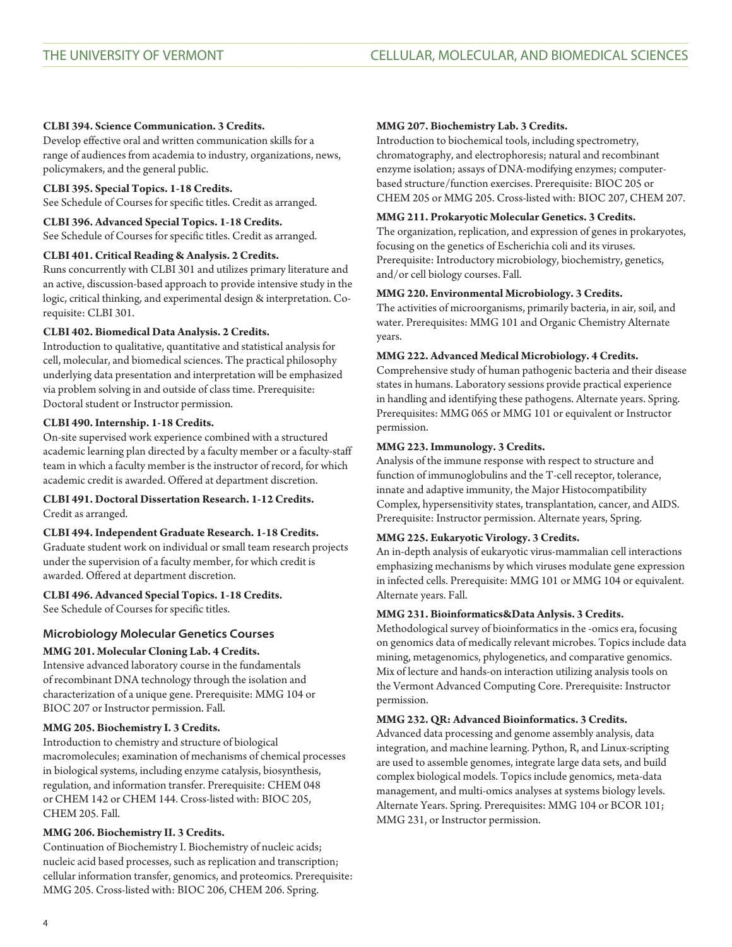# **CLBI 394. Science Communication. 3 Credits.**

Develop effective oral and written communication skills for a range of audiences from academia to industry, organizations, news, policymakers, and the general public.

# **CLBI 395. Special Topics. 1-18 Credits.**

See Schedule of Courses for specific titles. Credit as arranged.

**CLBI 396. Advanced Special Topics. 1-18 Credits.** See Schedule of Courses for specific titles. Credit as arranged.

# **CLBI 401. Critical Reading & Analysis. 2 Credits.**

Runs concurrently with [CLBI 301](/search/?P=CLBI%20301) and utilizes primary literature and an active, discussion-based approach to provide intensive study in the logic, critical thinking, and experimental design & interpretation. Corequisite: [CLBI 301.](/search/?P=CLBI%20301)

# **CLBI 402. Biomedical Data Analysis. 2 Credits.**

Introduction to qualitative, quantitative and statistical analysis for cell, molecular, and biomedical sciences. The practical philosophy underlying data presentation and interpretation will be emphasized via problem solving in and outside of class time. Prerequisite: Doctoral student or Instructor permission.

## **CLBI 490. Internship. 1-18 Credits.**

On-site supervised work experience combined with a structured academic learning plan directed by a faculty member or a faculty-staff team in which a faculty member is the instructor of record, for which academic credit is awarded. Offered at department discretion.

# **CLBI 491. Doctoral Dissertation Research. 1-12 Credits.** Credit as arranged.

### **CLBI 494. Independent Graduate Research. 1-18 Credits.**

Graduate student work on individual or small team research projects under the supervision of a faculty member, for which credit is awarded. Offered at department discretion.

# **CLBI 496. Advanced Special Topics. 1-18 Credits.**

See Schedule of Courses for specific titles.

# **Microbiology Molecular Genetics Courses**

# **MMG 201. Molecular Cloning Lab. 4 Credits.**

Intensive advanced laboratory course in the fundamentals of recombinant DNA technology through the isolation and characterization of a unique gene. Prerequisite: [MMG 104](/search/?P=MMG%20104) or [BIOC 207](/search/?P=BIOC%20207) or Instructor permission. Fall.

# **MMG 205. Biochemistry I. 3 Credits.**

Introduction to chemistry and structure of biological macromolecules; examination of mechanisms of chemical processes in biological systems, including enzyme catalysis, biosynthesis, regulation, and information transfer. Prerequisite: [CHEM 048](/search/?P=CHEM%20048) or [CHEM 142](/search/?P=CHEM%20142) or CHEM 144. Cross-listed with: [BIOC 205](/search/?P=BIOC%20205), [CHEM 205](/search/?P=CHEM%20205). Fall.

# **MMG 206. Biochemistry II. 3 Credits.**

Continuation of Biochemistry I. Biochemistry of nucleic acids; nucleic acid based processes, such as replication and transcription; cellular information transfer, genomics, and proteomics. Prerequisite: [MMG 205](/search/?P=MMG%20205). Cross-listed with: [BIOC 206,](/search/?P=BIOC%20206) [CHEM 206](/search/?P=CHEM%20206). Spring.

### **MMG 207. Biochemistry Lab. 3 Credits.**

Introduction to biochemical tools, including spectrometry, chromatography, and electrophoresis; natural and recombinant enzyme isolation; assays of DNA-modifying enzymes; computerbased structure/function exercises. Prerequisite: [BIOC 205](/search/?P=BIOC%20205) or [CHEM 205](/search/?P=CHEM%20205) or [MMG 205.](/search/?P=MMG%20205) Cross-listed with: [BIOC 207](/search/?P=BIOC%20207), [CHEM 207](/search/?P=CHEM%20207).

## **MMG 211. Prokaryotic Molecular Genetics. 3 Credits.**

The organization, replication, and expression of genes in prokaryotes, focusing on the genetics of Escherichia coli and its viruses. Prerequisite: Introductory microbiology, biochemistry, genetics, and/or cell biology courses. Fall.

## **MMG 220. Environmental Microbiology. 3 Credits.**

The activities of microorganisms, primarily bacteria, in air, soil, and water. Prerequisites: [MMG 101](/search/?P=MMG%20101) and Organic Chemistry Alternate years.

## **MMG 222. Advanced Medical Microbiology. 4 Credits.**

Comprehensive study of human pathogenic bacteria and their disease states in humans. Laboratory sessions provide practical experience in handling and identifying these pathogens. Alternate years. Spring. Prerequisites: [MMG 065](/search/?P=MMG%20065) or [MMG 101](/search/?P=MMG%20101) or equivalent or Instructor permission.

## **MMG 223. Immunology. 3 Credits.**

Analysis of the immune response with respect to structure and function of immunoglobulins and the T-cell receptor, tolerance, innate and adaptive immunity, the Major Histocompatibility Complex, hypersensitivity states, transplantation, cancer, and AIDS. Prerequisite: Instructor permission. Alternate years, Spring.

# **MMG 225. Eukaryotic Virology. 3 Credits.**

An in-depth analysis of eukaryotic virus-mammalian cell interactions emphasizing mechanisms by which viruses modulate gene expression in infected cells. Prerequisite: [MMG 101](/search/?P=MMG%20101) or [MMG 104](/search/?P=MMG%20104) or equivalent. Alternate years. Fall.

### **MMG 231. Bioinformatics&Data Anlysis. 3 Credits.**

Methodological survey of bioinformatics in the -omics era, focusing on genomics data of medically relevant microbes. Topics include data mining, metagenomics, phylogenetics, and comparative genomics. Mix of lecture and hands-on interaction utilizing analysis tools on the Vermont Advanced Computing Core. Prerequisite: Instructor permission.

### **MMG 232. QR: Advanced Bioinformatics. 3 Credits.**

Advanced data processing and genome assembly analysis, data integration, and machine learning. Python, R, and Linux-scripting are used to assemble genomes, integrate large data sets, and build complex biological models. Topics include genomics, meta-data management, and multi-omics analyses at systems biology levels. Alternate Years. Spring. Prerequisites: [MMG 104](/search/?P=MMG%20104) or [BCOR 101](/search/?P=BCOR%20101); [MMG 231](/search/?P=MMG%20231), or Instructor permission.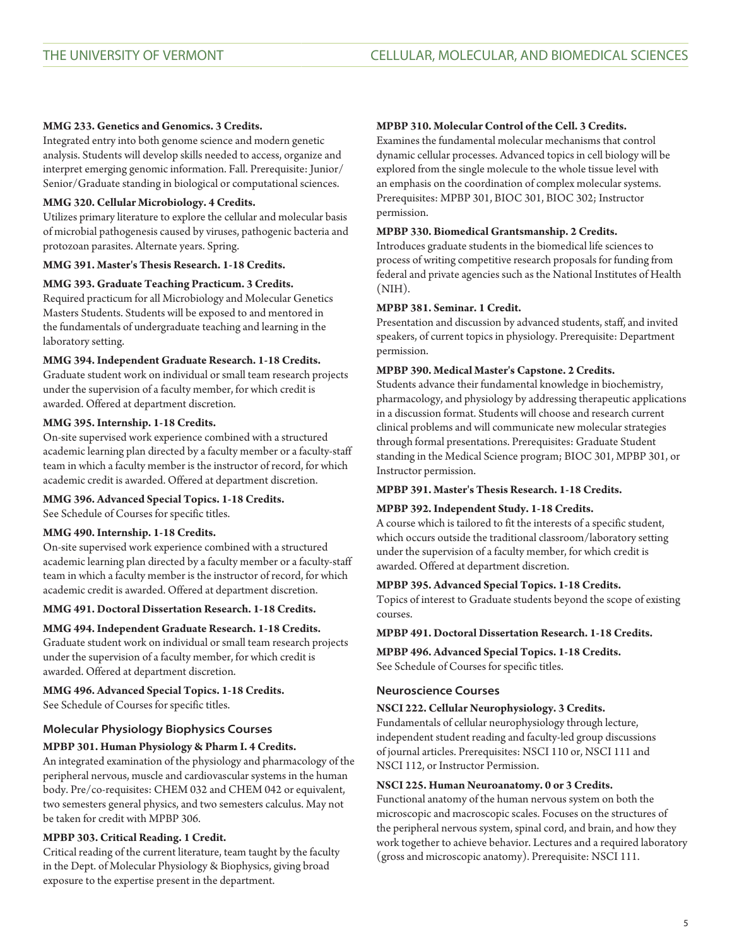# **MMG 233. Genetics and Genomics. 3 Credits.**

Integrated entry into both genome science and modern genetic analysis. Students will develop skills needed to access, organize and interpret emerging genomic information. Fall. Prerequisite: Junior/ Senior/Graduate standing in biological or computational sciences.

# **MMG 320. Cellular Microbiology. 4 Credits.**

Utilizes primary literature to explore the cellular and molecular basis of microbial pathogenesis caused by viruses, pathogenic bacteria and protozoan parasites. Alternate years. Spring.

# **MMG 391. Master's Thesis Research. 1-18 Credits.**

# **MMG 393. Graduate Teaching Practicum. 3 Credits.**

Required practicum for all Microbiology and Molecular Genetics Masters Students. Students will be exposed to and mentored in the fundamentals of undergraduate teaching and learning in the laboratory setting.

# **MMG 394. Independent Graduate Research. 1-18 Credits.**

Graduate student work on individual or small team research projects under the supervision of a faculty member, for which credit is awarded. Offered at department discretion.

## **MMG 395. Internship. 1-18 Credits.**

On-site supervised work experience combined with a structured academic learning plan directed by a faculty member or a faculty-staff team in which a faculty member is the instructor of record, for which academic credit is awarded. Offered at department discretion.

## **MMG 396. Advanced Special Topics. 1-18 Credits.**

See Schedule of Courses for specific titles.

## **MMG 490. Internship. 1-18 Credits.**

On-site supervised work experience combined with a structured academic learning plan directed by a faculty member or a faculty-staff team in which a faculty member is the instructor of record, for which academic credit is awarded. Offered at department discretion.

# **MMG 491. Doctoral Dissertation Research. 1-18 Credits.**

# **MMG 494. Independent Graduate Research. 1-18 Credits.**

Graduate student work on individual or small team research projects under the supervision of a faculty member, for which credit is awarded. Offered at department discretion.

# **MMG 496. Advanced Special Topics. 1-18 Credits.**

See Schedule of Courses for specific titles.

# **Molecular Physiology Biophysics Courses**

# **MPBP 301. Human Physiology & Pharm I. 4 Credits.**

An integrated examination of the physiology and pharmacology of the peripheral nervous, muscle and cardiovascular systems in the human body. Pre/co-requisites: [CHEM 032](/search/?P=CHEM%20032) and [CHEM 042](/search/?P=CHEM%20042) or equivalent, two semesters general physics, and two semesters calculus. May not be taken for credit with MPBP 306.

# **MPBP 303. Critical Reading. 1 Credit.**

Critical reading of the current literature, team taught by the faculty in the Dept. of Molecular Physiology & Biophysics, giving broad exposure to the expertise present in the department.

## **MPBP 310. Molecular Control of the Cell. 3 Credits.**

Examines the fundamental molecular mechanisms that control dynamic cellular processes. Advanced topics in cell biology will be explored from the single molecule to the whole tissue level with an emphasis on the coordination of complex molecular systems. Prerequisites: [MPBP 301,](/search/?P=MPBP%20301) [BIOC 301](/search/?P=BIOC%20301), [BIOC 302](/search/?P=BIOC%20302); Instructor permission.

# **MPBP 330. Biomedical Grantsmanship. 2 Credits.**

Introduces graduate students in the biomedical life sciences to process of writing competitive research proposals for funding from federal and private agencies such as the National Institutes of Health (NIH).

## **MPBP 381. Seminar. 1 Credit.**

Presentation and discussion by advanced students, staff, and invited speakers, of current topics in physiology. Prerequisite: Department permission.

# **MPBP 390. Medical Master's Capstone. 2 Credits.**

Students advance their fundamental knowledge in biochemistry, pharmacology, and physiology by addressing therapeutic applications in a discussion format. Students will choose and research current clinical problems and will communicate new molecular strategies through formal presentations. Prerequisites: Graduate Student standing in the Medical Science program; [BIOC 301,](/search/?P=BIOC%20301) [MPBP 301,](/search/?P=MPBP%20301) or Instructor permission.

## **MPBP 391. Master's Thesis Research. 1-18 Credits.**

# **MPBP 392. Independent Study. 1-18 Credits.**

A course which is tailored to fit the interests of a specific student, which occurs outside the traditional classroom/laboratory setting under the supervision of a faculty member, for which credit is awarded. Offered at department discretion.

## **MPBP 395. Advanced Special Topics. 1-18 Credits.**

Topics of interest to Graduate students beyond the scope of existing courses.

# **MPBP 491. Doctoral Dissertation Research. 1-18 Credits.**

**MPBP 496. Advanced Special Topics. 1-18 Credits.** See Schedule of Courses for specific titles.

## **Neuroscience Courses**

## **NSCI 222. Cellular Neurophysiology. 3 Credits.**

Fundamentals of cellular neurophysiology through lecture, independent student reading and faculty-led group discussions of journal articles. Prerequisites: NSCI 110 or, [NSCI 111](/search/?P=NSCI%20111) and [NSCI 112](/search/?P=NSCI%20112), or Instructor Permission.

### **NSCI 225. Human Neuroanatomy. 0 or 3 Credits.**

Functional anatomy of the human nervous system on both the microscopic and macroscopic scales. Focuses on the structures of the peripheral nervous system, spinal cord, and brain, and how they work together to achieve behavior. Lectures and a required laboratory (gross and microscopic anatomy). Prerequisite: [NSCI 111](/search/?P=NSCI%20111).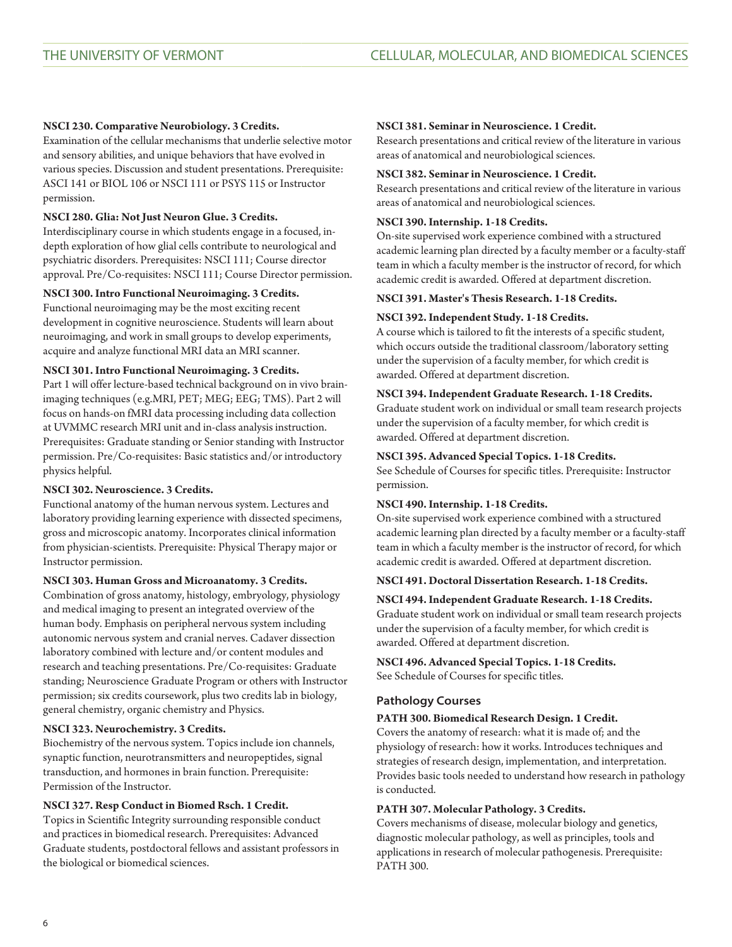# **NSCI 230. Comparative Neurobiology. 3 Credits.**

Examination of the cellular mechanisms that underlie selective motor and sensory abilities, and unique behaviors that have evolved in various species. Discussion and student presentations. Prerequisite: [ASCI 141](/search/?P=ASCI%20141) or BIOL 106 or [NSCI 111](/search/?P=NSCI%20111) or [PSYS 115](/search/?P=PSYS%20115) or Instructor permission.

# **NSCI 280. Glia: Not Just Neuron Glue. 3 Credits.**

Interdisciplinary course in which students engage in a focused, indepth exploration of how glial cells contribute to neurological and psychiatric disorders. Prerequisites: [NSCI 111](/search/?P=NSCI%20111); Course director approval. Pre/Co-requisites: [NSCI 111](/search/?P=NSCI%20111); Course Director permission.

# **NSCI 300. Intro Functional Neuroimaging. 3 Credits.**

Functional neuroimaging may be the most exciting recent development in cognitive neuroscience. Students will learn about neuroimaging, and work in small groups to develop experiments, acquire and analyze functional MRI data an MRI scanner.

# **NSCI 301. Intro Functional Neuroimaging. 3 Credits.**

Part 1 will offer lecture-based technical background on in vivo brainimaging techniques (e.g.MRI, PET; MEG; EEG; TMS). Part 2 will focus on hands-on fMRI data processing including data collection at UVMMC research MRI unit and in-class analysis instruction. Prerequisites: Graduate standing or Senior standing with Instructor permission. Pre/Co-requisites: Basic statistics and/or introductory physics helpful.

# **NSCI 302. Neuroscience. 3 Credits.**

Functional anatomy of the human nervous system. Lectures and laboratory providing learning experience with dissected specimens, gross and microscopic anatomy. Incorporates clinical information from physician-scientists. Prerequisite: Physical Therapy major or Instructor permission.

# **NSCI 303. Human Gross and Microanatomy. 3 Credits.**

Combination of gross anatomy, histology, embryology, physiology and medical imaging to present an integrated overview of the human body. Emphasis on peripheral nervous system including autonomic nervous system and cranial nerves. Cadaver dissection laboratory combined with lecture and/or content modules and research and teaching presentations. Pre/Co-requisites: Graduate standing; Neuroscience Graduate Program or others with Instructor permission; six credits coursework, plus two credits lab in biology, general chemistry, organic chemistry and Physics.

# **NSCI 323. Neurochemistry. 3 Credits.**

Biochemistry of the nervous system. Topics include ion channels, synaptic function, neurotransmitters and neuropeptides, signal transduction, and hormones in brain function. Prerequisite: Permission of the Instructor.

# **NSCI 327. Resp Conduct in Biomed Rsch. 1 Credit.**

Topics in Scientific Integrity surrounding responsible conduct and practices in biomedical research. Prerequisites: Advanced Graduate students, postdoctoral fellows and assistant professors in the biological or biomedical sciences.

## **NSCI 381. Seminar in Neuroscience. 1 Credit.**

Research presentations and critical review of the literature in various areas of anatomical and neurobiological sciences.

## **NSCI 382. Seminar in Neuroscience. 1 Credit.**

Research presentations and critical review of the literature in various areas of anatomical and neurobiological sciences.

# **NSCI 390. Internship. 1-18 Credits.**

On-site supervised work experience combined with a structured academic learning plan directed by a faculty member or a faculty-staff team in which a faculty member is the instructor of record, for which academic credit is awarded. Offered at department discretion.

# **NSCI 391. Master's Thesis Research. 1-18 Credits.**

# **NSCI 392. Independent Study. 1-18 Credits.**

A course which is tailored to fit the interests of a specific student, which occurs outside the traditional classroom/laboratory setting under the supervision of a faculty member, for which credit is awarded. Offered at department discretion.

# **NSCI 394. Independent Graduate Research. 1-18 Credits.**

Graduate student work on individual or small team research projects under the supervision of a faculty member, for which credit is awarded. Offered at department discretion.

# **NSCI 395. Advanced Special Topics. 1-18 Credits.**

See Schedule of Courses for specific titles. Prerequisite: Instructor permission.

### **NSCI 490. Internship. 1-18 Credits.**

On-site supervised work experience combined with a structured academic learning plan directed by a faculty member or a faculty-staff team in which a faculty member is the instructor of record, for which academic credit is awarded. Offered at department discretion.

# **NSCI 491. Doctoral Dissertation Research. 1-18 Credits.**

# **NSCI 494. Independent Graduate Research. 1-18 Credits.**

Graduate student work on individual or small team research projects under the supervision of a faculty member, for which credit is awarded. Offered at department discretion.

# **NSCI 496. Advanced Special Topics. 1-18 Credits.** See Schedule of Courses for specific titles.

# **Pathology Courses**

# **PATH 300. Biomedical Research Design. 1 Credit.**

Covers the anatomy of research: what it is made of; and the physiology of research: how it works. Introduces techniques and strategies of research design, implementation, and interpretation. Provides basic tools needed to understand how research in pathology is conducted.

# **PATH 307. Molecular Pathology. 3 Credits.**

Covers mechanisms of disease, molecular biology and genetics, diagnostic molecular pathology, as well as principles, tools and applications in research of molecular pathogenesis. Prerequisite: [PATH 300.](/search/?P=PATH%20300)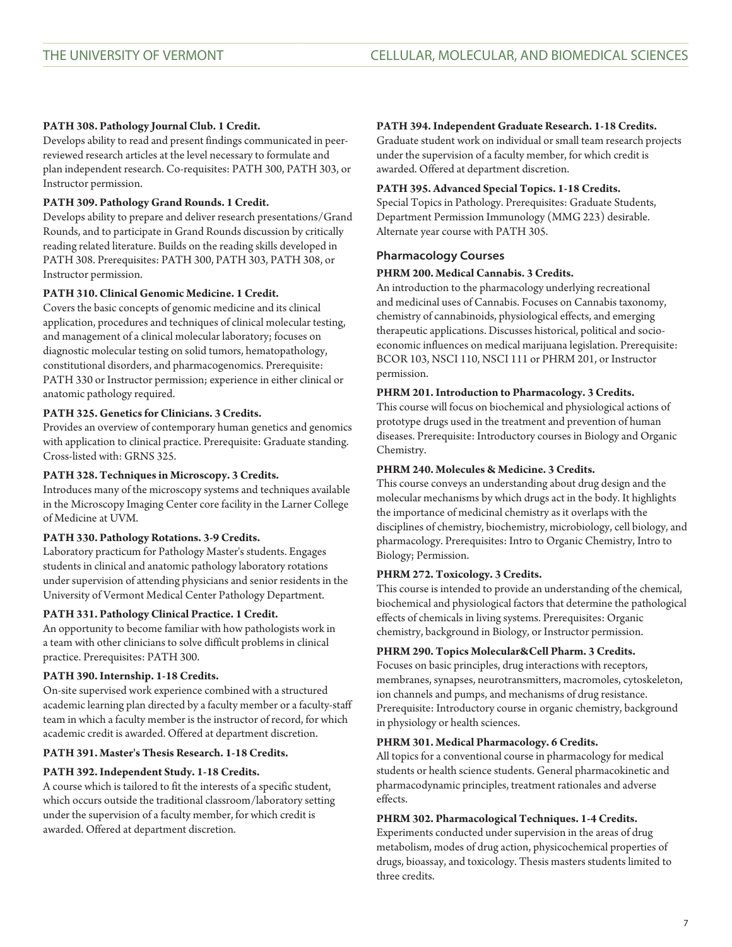# **PATH 308. Pathology Journal Club. 1 Credit.**

Develops ability to read and present findings communicated in peerreviewed research articles at the level necessary to formulate and plan independent research. Co-requisites: [PATH 300,](/search/?P=PATH%20300) PATH 303, or Instructor permission.

# **PATH 309. Pathology Grand Rounds. 1 Credit.**

Develops ability to prepare and deliver research presentations/Grand Rounds, and to participate in Grand Rounds discussion by critically reading related literature. Builds on the reading skills developed in [PATH 308.](/search/?P=PATH%20308) Prerequisites: [PATH 300,](/search/?P=PATH%20300) PATH 303, [PATH 308,](/search/?P=PATH%20308) or Instructor permission.

# **PATH 310. Clinical Genomic Medicine. 1 Credit.**

Covers the basic concepts of genomic medicine and its clinical application, procedures and techniques of clinical molecular testing, and management of a clinical molecular laboratory; focuses on diagnostic molecular testing on solid tumors, hematopathology, constitutional disorders, and pharmacogenomics. Prerequisite: [PATH 330](/search/?P=PATH%20330) or Instructor permission; experience in either clinical or anatomic pathology required.

# **PATH 325. Genetics for Clinicians. 3 Credits.**

Provides an overview of contemporary human genetics and genomics with application to clinical practice. Prerequisite: Graduate standing. Cross-listed with: [GRNS 325.](/search/?P=GRNS%20325)

# **PATH 328. Techniques in Microscopy. 3 Credits.**

Introduces many of the microscopy systems and techniques available in the Microscopy Imaging Center core facility in the Larner College of Medicine at UVM.

# **PATH 330. Pathology Rotations. 3-9 Credits.**

Laboratory practicum for Pathology Master's students. Engages students in clinical and anatomic pathology laboratory rotations under supervision of attending physicians and senior residents in the University of Vermont Medical Center Pathology Department.

# **PATH 331. Pathology Clinical Practice. 1 Credit.**

An opportunity to become familiar with how pathologists work in a team with other clinicians to solve difficult problems in clinical practice. Prerequisites: [PATH 300.](/search/?P=PATH%20300)

# **PATH 390. Internship. 1-18 Credits.**

On-site supervised work experience combined with a structured academic learning plan directed by a faculty member or a faculty-staff team in which a faculty member is the instructor of record, for which academic credit is awarded. Offered at department discretion.

# **PATH 391. Master's Thesis Research. 1-18 Credits.**

# **PATH 392. Independent Study. 1-18 Credits.**

A course which is tailored to fit the interests of a specific student, which occurs outside the traditional classroom/laboratory setting under the supervision of a faculty member, for which credit is awarded. Offered at department discretion.

# **PATH 394. Independent Graduate Research. 1-18 Credits.**

Graduate student work on individual or small team research projects under the supervision of a faculty member, for which credit is awarded. Offered at department discretion.

## **PATH 395. Advanced Special Topics. 1-18 Credits.**

Special Topics in Pathology. Prerequisites: Graduate Students, Department Permission Immunology ([MMG 223](/search/?P=MMG%20223)) desirable. Alternate year course with PATH 305.

# **Pharmacology Courses**

# **PHRM 200. Medical Cannabis. 3 Credits.**

An introduction to the pharmacology underlying recreational and medicinal uses of Cannabis. Focuses on Cannabis taxonomy, chemistry of cannabinoids, physiological effects, and emerging therapeutic applications. Discusses historical, political and socioeconomic influences on medical marijuana legislation. Prerequisite: [BCOR 103](/search/?P=BCOR%20103), NSCI 110, [NSCI 111](/search/?P=NSCI%20111) or [PHRM 201](/search/?P=PHRM%20201), or Instructor permission.

# **PHRM 201. Introduction to Pharmacology. 3 Credits.**

This course will focus on biochemical and physiological actions of prototype drugs used in the treatment and prevention of human diseases. Prerequisite: Introductory courses in Biology and Organic Chemistry.

# **PHRM 240. Molecules & Medicine. 3 Credits.**

This course conveys an understanding about drug design and the molecular mechanisms by which drugs act in the body. It highlights the importance of medicinal chemistry as it overlaps with the disciplines of chemistry, biochemistry, microbiology, cell biology, and pharmacology. Prerequisites: Intro to Organic Chemistry, Intro to Biology; Permission.

# **PHRM 272. Toxicology. 3 Credits.**

This course is intended to provide an understanding of the chemical, biochemical and physiological factors that determine the pathological effects of chemicals in living systems. Prerequisites: Organic chemistry, background in Biology, or Instructor permission.

# **PHRM 290. Topics Molecular&Cell Pharm. 3 Credits.**

Focuses on basic principles, drug interactions with receptors, membranes, synapses, neurotransmitters, macromoles, cytoskeleton, ion channels and pumps, and mechanisms of drug resistance. Prerequisite: Introductory course in organic chemistry, background in physiology or health sciences.

# **PHRM 301. Medical Pharmacology. 6 Credits.**

All topics for a conventional course in pharmacology for medical students or health science students. General pharmacokinetic and pharmacodynamic principles, treatment rationales and adverse effects.

# **PHRM 302. Pharmacological Techniques. 1-4 Credits.**

Experiments conducted under supervision in the areas of drug metabolism, modes of drug action, physicochemical properties of drugs, bioassay, and toxicology. Thesis masters students limited to three credits.